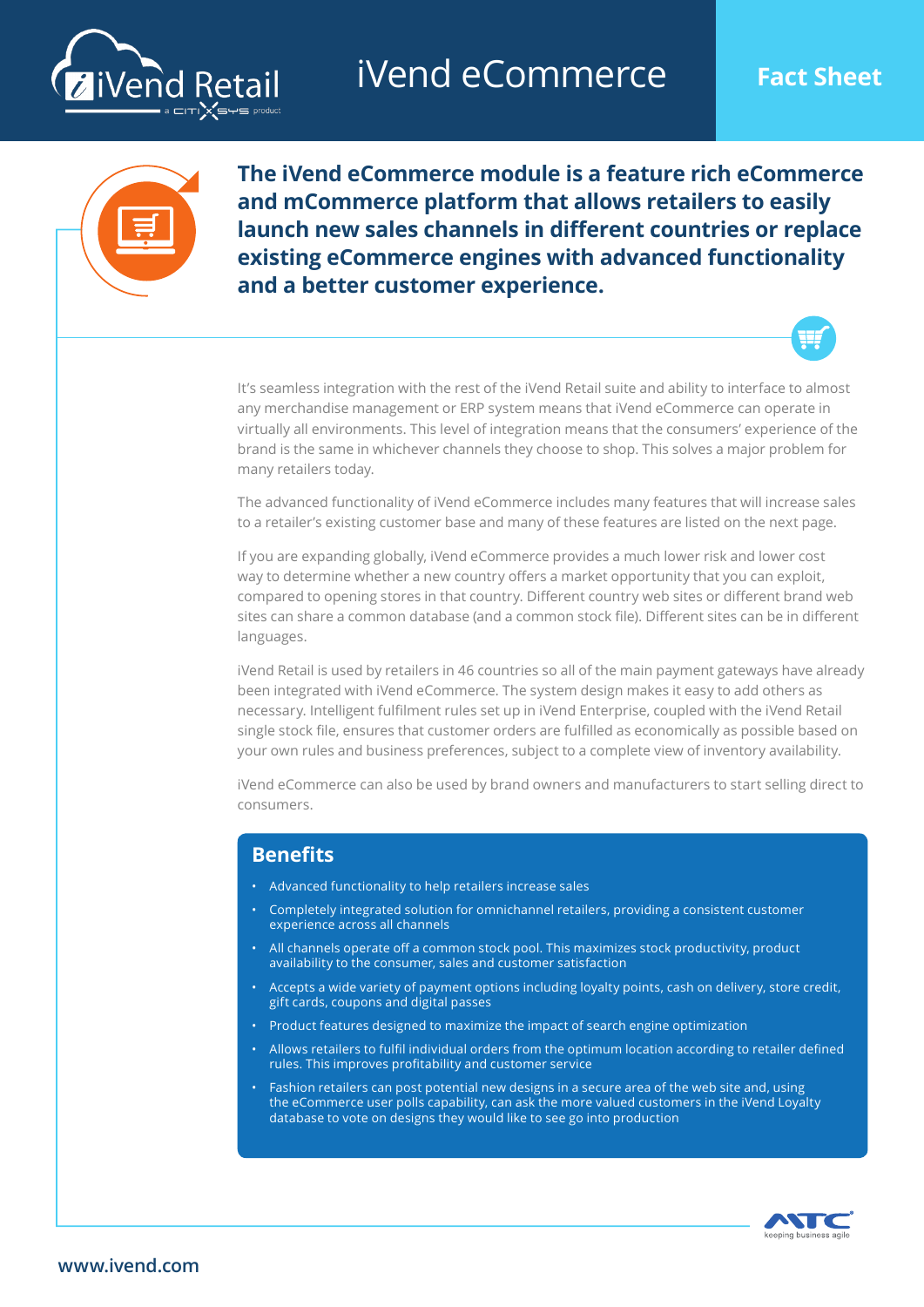

iVend eCommerce **Fact Sheet**



**The iVend eCommerce module is a feature rich eCommerce and mCommerce platform that allows retailers to easily launch new sales channels in different countries or replace existing eCommerce engines with advanced functionality and a better customer experience.** 



It's seamless integration with the rest of the iVend Retail suite and ability to interface to almost any merchandise management or ERP system means that iVend eCommerce can operate in virtually all environments. This level of integration means that the consumers' experience of the brand is the same in whichever channels they choose to shop. This solves a major problem for many retailers today.

The advanced functionality of iVend eCommerce includes many features that will increase sales to a retailer's existing customer base and many of these features are listed on the next page.

If you are expanding globally, iVend eCommerce provides a much lower risk and lower cost way to determine whether a new country offers a market opportunity that you can exploit, compared to opening stores in that country. Different country web sites or different brand web sites can share a common database (and a common stock file). Different sites can be in different languages.

iVend Retail is used by retailers in 46 countries so all of the main payment gateways have already been integrated with iVend eCommerce. The system design makes it easy to add others as necessary. Intelligent fulfilment rules set up in iVend Enterprise, coupled with the iVend Retail single stock file, ensures that customer orders are fulfilled as economically as possible based on your own rules and business preferences, subject to a complete view of inventory availability.

iVend eCommerce can also be used by brand owners and manufacturers to start selling direct to consumers.

#### **Benefits**

- Advanced functionality to help retailers increase sales
- Completely integrated solution for omnichannel retailers, providing a consistent customer experience across all channels
- All channels operate off a common stock pool. This maximizes stock productivity, product availability to the consumer, sales and customer satisfaction
- Accepts a wide variety of payment options including loyalty points, cash on delivery, store credit, gift cards, coupons and digital passes
- Product features designed to maximize the impact of search engine optimization
- Allows retailers to fulfil individual orders from the optimum location according to retailer defined rules. This improves profitability and customer service
- Fashion retailers can post potential new designs in a secure area of the web site and, using the eCommerce user polls capability, can ask the more valued customers in the iVend Loyalty database to vote on designs they would like to see go into production